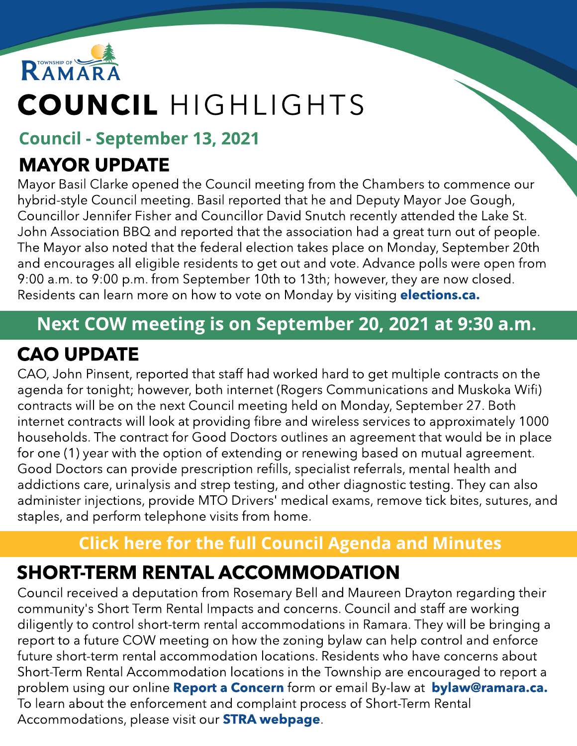

# COUNCIL HIGHLIGHTS

#### Council - September 13, 2021

# MAYOR UPDATE

Mayor Basil Clarke opened the Council meeting from the Chambers to commence our hybrid-style Council meeting. Basil reported that he and Deputy Mayor Joe Gough, Councillor Jennifer Fisher and Councillor David Snutch recently attended the Lake St. John Association BBQ and reported that the association had a great turn out of people. The Mayor also noted that the federal election takes place on Monday, September 20th and encourages all eligible residents to get out and vote. Advance polls were open from 9:00 a.m. to 9:00 p.m. from September 10th to 13th; however, they are now closed. Residents can learn more on how to vote on Monday by visiting **[elections.ca.](https://www.elections.ca/home.aspx)** 

### Next COW meeting is on September 20, 2021 at 9:30 a.m.

## CAO UPDATE

CAO, John Pinsent, reported that staff had worked hard to get multiple contracts on the agenda for tonight; however, both internet (Rogers Communications and Muskoka Wifi) contracts will be on the next Council meeting held on Monday, September 27. Both internet contracts will look at providing fibre and wireless services to approximately 1000 households. The contract for Good Doctors outlines an agreement that would be in place for one (1) year with the option of extending or renewing based on mutual agreement. Good Doctors can provide prescription refills, specialist referrals, mental health and addictions care, urinalysis and strep testing, and other diagnostic testing. They can also administer injections, provide MTO Drivers' medical exams, remove tick bites, sutures, and staples, and perform telephone visits from home.

### **[Click](https://ramara.civicweb.net/portal/) [here](https://ramara.civicweb.net/portal/) [for](https://ramara.civicweb.net/portal/) t[he](https://ramara.civicweb.net/portal/) [full](https://ramara.civicweb.net/portal/) [Council](https://ramara.civicweb.net/portal/) [Agenda](https://ramara.civicweb.net/portal/) [and](https://ramara.civicweb.net/portal/) [Minut](https://ramara.civicweb.net/portal/)es**

## SHORT-TERM RENTAL ACCOMMODATION

Council received a deputation from Rosemary Bell and Maureen Drayton regarding their community's Short Term Rental Impacts and concerns. Council and staff are working diligently to control short-term rental accommodations in Ramara. They will be bringing a report to a future COW meeting on how the zoning bylaw can help control and enforce future short-term rental accommodation locations. Residents who have concerns about Short-Term Rental Accommodation locations in the Township are encouraged to report a problem using our online **[Report](https://www.ramara.ca/en/living-here/report-a-concern-online-form.aspx) [a](https://www.ramara.ca/en/living-here/report-a-concern-online-form.aspx) [Concern](https://www.ramara.ca/en/living-here/report-a-concern-online-form.aspx)** form or email By-law at **[bylaw@ramara.ca.](mailto:bylaw@ramara.ca)** To learn about the enforcement and complaint process of Short-Term Rental Accommodations, please visit our **[STRA](https://www.ramara.ca/en/business-and-development/short-term-rental-accommodations.aspx) w[ebpage](https://www.ramara.ca/en/business-and-development/short-term-rental-accommodations.aspx)**.